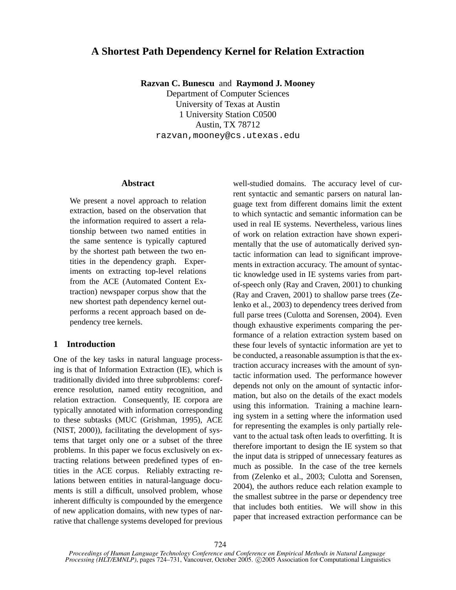# **A Shortest Path Dependency Kernel for Relation Extraction**

**Razvan C. Bunescu** and **Raymond J. Mooney**

Department of Computer Sciences University of Texas at Austin 1 University Station C0500 Austin, TX 78712 razvan,mooney@cs.utexas.edu

### **Abstract**

We present a novel approach to relation extraction, based on the observation that the information required to assert a relationship between two named entities in the same sentence is typically captured by the shortest path between the two entities in the dependency graph. Experiments on extracting top-level relations from the ACE (Automated Content Extraction) newspaper corpus show that the new shortest path dependency kernel outperforms a recent approach based on dependency tree kernels.

# **1 Introduction**

One of the key tasks in natural language processing is that of Information Extraction (IE), which is traditionally divided into three subproblems: coreference resolution, named entity recognition, and relation extraction. Consequently, IE corpora are typically annotated with information corresponding to these subtasks (MUC (Grishman, 1995), ACE (NIST, 2000)), facilitating the development of systems that target only one or a subset of the three problems. In this paper we focus exclusively on extracting relations between predefined types of entities in the ACE corpus. Reliably extracting relations between entities in natural-language documents is still a difficult, unsolved problem, whose inherent difficulty is compounded by the emergence of new application domains, with new types of narrative that challenge systems developed for previous

well-studied domains. The accuracy level of current syntactic and semantic parsers on natural language text from different domains limit the extent to which syntactic and semantic information can be used in real IE systems. Nevertheless, various lines of work on relation extraction have shown experimentally that the use of automatically derived syntactic information can lead to significant improvements in extraction accuracy. The amount of syntactic knowledge used in IE systems varies from partof-speech only (Ray and Craven, 2001) to chunking (Ray and Craven, 2001) to shallow parse trees (Zelenko et al., 2003) to dependency trees derived from full parse trees (Culotta and Sorensen, 2004). Even though exhaustive experiments comparing the performance of a relation extraction system based on these four levels of syntactic information are yet to be conducted, a reasonable assumption is that the extraction accuracy increases with the amount of syntactic information used. The performance however depends not only on the amount of syntactic information, but also on the details of the exact models using this information. Training a machine learning system in a setting where the information used for representing the examples is only partially relevant to the actual task often leads to overfitting. It is therefore important to design the IE system so that the input data is stripped of unnecessary features as much as possible. In the case of the tree kernels from (Zelenko et al., 2003; Culotta and Sorensen, 2004), the authors reduce each relation example to the smallest subtree in the parse or dependency tree that includes both entities. We will show in this paper that increased extraction performance can be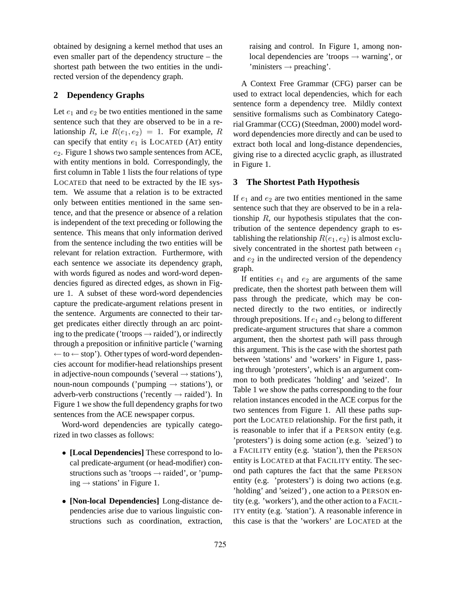obtained by designing a kernel method that uses an even smaller part of the dependency structure – the shortest path between the two entities in the undirected version of the dependency graph.

# **2 Dependency Graphs**

Let  $e_1$  and  $e_2$  be two entities mentioned in the same sentence such that they are observed to be in a relationship R, i.e  $R(e_1, e_2) = 1$ . For example, R can specify that entity  $e_1$  is LOCATED (AT) entity  $e_2$ . Figure 1 shows two sample sentences from ACE, with entity mentions in bold. Correspondingly, the first column in Table 1 lists the four relations of type LOCATED that need to be extracted by the IE system. We assume that a relation is to be extracted only between entities mentioned in the same sentence, and that the presence or absence of a relation is independent of the text preceding or following the sentence. This means that only information derived from the sentence including the two entities will be relevant for relation extraction. Furthermore, with each sentence we associate its dependency graph, with words figured as nodes and word-word dependencies figured as directed edges, as shown in Figure 1. A subset of these word-word dependencies capture the predicate-argument relations present in the sentence. Arguments are connected to their target predicates either directly through an arc pointing to the predicate ('troops  $\rightarrow$  raided'), or indirectly through a preposition or infinitive particle ('warning  $\leftarrow$  to  $\leftarrow$  stop'). Other types of word-word dependencies account for modifier-head relationships present in adjective-noun compounds ('several  $\rightarrow$  stations'), noun-noun compounds ('pumping  $\rightarrow$  stations'), or adverb-verb constructions ('recently  $\rightarrow$  raided'). In Figure 1 we show the full dependency graphs for two sentences from the ACE newspaper corpus.

Word-word dependencies are typically categorized in two classes as follows:

- **[Local Dependencies]** These correspond to local predicate-argument (or head-modifier) constructions such as 'troops  $\rightarrow$  raided', or 'pumping  $\rightarrow$  stations' in Figure 1.
- **[Non-local Dependencies]** Long-distance dependencies arise due to various linguistic constructions such as coordination, extraction,

raising and control. In Figure 1, among nonlocal dependencies are 'troops  $\rightarrow$  warning', or  $'$ ministers  $\rightarrow$  preaching'.

A Context Free Grammar (CFG) parser can be used to extract local dependencies, which for each sentence form a dependency tree. Mildly context sensitive formalisms such as Combinatory Categorial Grammar (CCG) (Steedman, 2000) model wordword dependencies more directly and can be used to extract both local and long-distance dependencies, giving rise to a directed acyclic graph, as illustrated in Figure 1.

#### **3 The Shortest Path Hypothesis**

If  $e_1$  and  $e_2$  are two entities mentioned in the same sentence such that they are observed to be in a relationship  $R$ , our hypothesis stipulates that the contribution of the sentence dependency graph to establishing the relationship  $R(e_1, e_2)$  is almost exclusively concentrated in the shortest path between  $e_1$ and  $e_2$  in the undirected version of the dependency graph.

If entities  $e_1$  and  $e_2$  are arguments of the same predicate, then the shortest path between them will pass through the predicate, which may be connected directly to the two entities, or indirectly through prepositions. If  $e_1$  and  $e_2$  belong to different predicate-argument structures that share a common argument, then the shortest path will pass through this argument. This is the case with the shortest path between 'stations' and 'workers' in Figure 1, passing through 'protesters', which is an argument common to both predicates 'holding' and 'seized'. In Table 1 we show the paths corresponding to the four relation instances encoded in the ACE corpus for the two sentences from Figure 1. All these paths support the LOCATED relationship. For the first path, it is reasonable to infer that if a PERSON entity (e.g. 'protesters') is doing some action (e.g. 'seized') to a FACILITY entity (e.g. 'station'), then the PERSON entity is LOCATED at that FACILITY entity. The second path captures the fact that the same PERSON entity (e.g. 'protesters') is doing two actions (e.g. 'holding' and 'seized') , one action to a PERSON entity (e.g. 'workers'), and the other action to a FACIL-ITY entity (e.g. 'station'). A reasonable inference in this case is that the 'workers' are LOCATED at the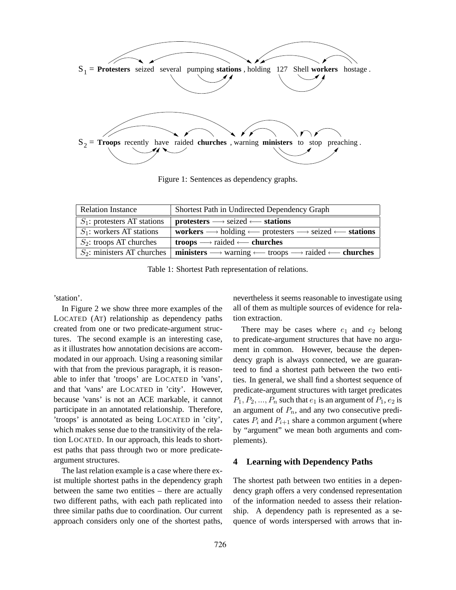

Figure 1: Sentences as dependency graphs.

| <b>Relation Instance</b>       | Shortest Path in Undirected Dependency Graph                                                                                                   |  |  |
|--------------------------------|------------------------------------------------------------------------------------------------------------------------------------------------|--|--|
| $S_1$ : protesters AT stations | $protesters \longrightarrow$ seized $\longleftarrow$ stations                                                                                  |  |  |
| $S_1$ : workers AT stations    | workers $\longrightarrow$ holding $\longleftarrow$ protesters $\longrightarrow$ seized $\longleftarrow$ stations                               |  |  |
| $S_2$ : troops AT churches     | <b>troops</b> $\longrightarrow$ raided $\longleftarrow$ <b>churches</b>                                                                        |  |  |
|                                | $S_2$ : ministers AT churches   ministers $\longrightarrow$ warning $\longleftarrow$ troops $\longrightarrow$ raided $\longleftarrow$ churches |  |  |

Table 1: Shortest Path representation of relations.

'station'.

In Figure 2 we show three more examples of the LOCATED (AT) relationship as dependency paths created from one or two predicate-argument structures. The second example is an interesting case, as it illustrates how annotation decisions are accommodated in our approach. Using a reasoning similar with that from the previous paragraph, it is reasonable to infer that 'troops' are LOCATED in 'vans', and that 'vans' are LOCATED in 'city'. However, because 'vans' is not an ACE markable, it cannot participate in an annotated relationship. Therefore, 'troops' is annotated as being LOCATED in 'city', which makes sense due to the transitivity of the relation LOCATED. In our approach, this leads to shortest paths that pass through two or more predicateargument structures.

The last relation example is a case where there exist multiple shortest paths in the dependency graph between the same two entities – there are actually two different paths, with each path replicated into three similar paths due to coordination. Our current approach considers only one of the shortest paths,

nevertheless it seems reasonable to investigate using all of them as multiple sources of evidence for relation extraction.

There may be cases where  $e_1$  and  $e_2$  belong to predicate-argument structures that have no argument in common. However, because the dependency graph is always connected, we are guaranteed to find a shortest path between the two entities. In general, we shall find a shortest sequence of predicate-argument structures with target predicates  $P_1, P_2, ..., P_n$  such that  $e_1$  is an argument of  $P_1, e_2$  is an argument of  $P_n$ , and any two consecutive predicates  $P_i$  and  $P_{i+1}$  share a common argument (where by "argument" we mean both arguments and complements).

### **4 Learning with Dependency Paths**

The shortest path between two entities in a dependency graph offers a very condensed representation of the information needed to assess their relationship. A dependency path is represented as a sequence of words interspersed with arrows that in-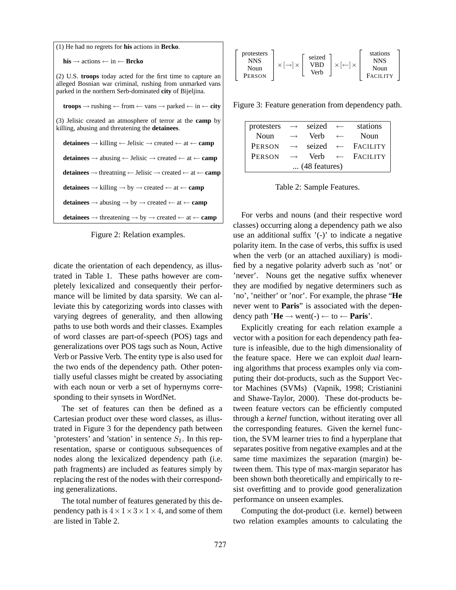| $(1)$ He had no regrets for <b>his</b> actions in <b>Brcko</b> .                                                                                                                     |  |  |  |
|--------------------------------------------------------------------------------------------------------------------------------------------------------------------------------------|--|--|--|
| $his \rightarrow actions \leftarrow in \leftarrow Breko$                                                                                                                             |  |  |  |
| (2) U.S. troops today acted for the first time to capture an<br>alleged Bosnian war criminal, rushing from unmarked vans<br>parked in the northern Serb-dominated city of Bijeljina. |  |  |  |
| <b>troops</b> $\rightarrow$ rushing $\leftarrow$ from $\leftarrow$ vans $\rightarrow$ parked $\leftarrow$ in $\leftarrow$ <b>city</b>                                                |  |  |  |
| (3) Jelisic created an atmosphere of terror at the <b>camp</b> by<br>killing, abusing and threatening the detainees.                                                                 |  |  |  |
| <b>detainees</b> $\rightarrow$ killing $\leftarrow$ Jelisic $\rightarrow$ created $\leftarrow$ at $\leftarrow$ <b>camp</b>                                                           |  |  |  |
| <b>detainees</b> $\rightarrow$ abusing $\leftarrow$ Jelisic $\rightarrow$ created $\leftarrow$ at $\leftarrow$ <b>camp</b>                                                           |  |  |  |
| <b>detainees</b> $\rightarrow$ threatning $\leftarrow$ Jelisic $\rightarrow$ created $\leftarrow$ at $\leftarrow$ <b>camp</b>                                                        |  |  |  |
| <b>detainees</b> $\rightarrow$ killing $\rightarrow$ by $\rightarrow$ created $\leftarrow$ at $\leftarrow$ <b>camp</b>                                                               |  |  |  |
| <b>detainees</b> $\rightarrow$ abusing $\rightarrow$ by $\rightarrow$ created $\leftarrow$ at $\leftarrow$ <b>camp</b>                                                               |  |  |  |
| <b>detainees</b> $\rightarrow$ threatening $\rightarrow$ by $\rightarrow$ created $\leftarrow$ at $\leftarrow$ <b>camp</b>                                                           |  |  |  |

Figure 2: Relation examples.

dicate the orientation of each dependency, as illustrated in Table 1. These paths however are completely lexicalized and consequently their performance will be limited by data sparsity. We can alleviate this by categorizing words into classes with varying degrees of generality, and then allowing paths to use both words and their classes. Examples of word classes are part-of-speech (POS) tags and generalizations over POS tags such as Noun, Active Verb or Passive Verb. The entity type is also used for the two ends of the dependency path. Other potentially useful classes might be created by associating with each noun or verb a set of hypernyms corresponding to their synsets in WordNet.

The set of features can then be defined as a Cartesian product over these word classes, as illustrated in Figure 3 for the dependency path between 'protesters' and 'station' in sentence  $S_1$ . In this representation, sparse or contiguous subsequences of nodes along the lexicalized dependency path (i.e. path fragments) are included as features simply by replacing the rest of the nodes with their corresponding generalizations.

The total number of features generated by this dependency path is  $4 \times 1 \times 3 \times 1 \times 4$ , and some of them are listed in Table 2.

| protesters<br>seized<br><b>NNS</b><br>VRD<br>Noun<br>Verb<br><b>PERSON</b> | stations<br>NNS<br>Noun<br><b>FACILITY</b> |
|----------------------------------------------------------------------------|--------------------------------------------|
|----------------------------------------------------------------------------|--------------------------------------------|

Figure 3: Feature generation from dependency path.

| protesters            |                   | $\rightarrow$ seized $\leftarrow$ |              | stations                     |  |
|-----------------------|-------------------|-----------------------------------|--------------|------------------------------|--|
| Noun                  | $\longrightarrow$ | Verb                              | $\leftarrow$ | Noun                         |  |
| <b>PERSON</b>         | $\rightarrow$     |                                   |              | seized $\leftarrow$ FACILITY |  |
| <b>PERSON</b>         | $\rightarrow$     | Verb                              |              | $\leftarrow$ Facility        |  |
| $\dots$ (48 features) |                   |                                   |              |                              |  |

Table 2: Sample Features.

For verbs and nouns (and their respective word classes) occurring along a dependency path we also use an additional suffix  $\prime$ (-) $\prime$  to indicate a negative polarity item. In the case of verbs, this suffix is used when the verb (or an attached auxiliary) is modified by a negative polarity adverb such as 'not' or 'never'. Nouns get the negative suffix whenever they are modified by negative determiners such as 'no', 'neither' or 'nor'. For example, the phrase "**He** never went to **Paris**" is associated with the dependency path  $'He \rightarrow$  went(-)  $\leftarrow$  to  $\leftarrow$  **Paris**'.

Explicitly creating for each relation example a vector with a position for each dependency path feature is infeasible, due to the high dimensionality of the feature space. Here we can exploit *dual* learning algorithms that process examples only via computing their dot-products, such as the Support Vector Machines (SVMs) (Vapnik, 1998; Cristianini and Shawe-Taylor, 2000). These dot-products between feature vectors can be efficiently computed through a *kernel* function, without iterating over all the corresponding features. Given the kernel function, the SVM learner tries to find a hyperplane that separates positive from negative examples and at the same time maximizes the separation (margin) between them. This type of max-margin separator has been shown both theoretically and empirically to resist overfitting and to provide good generalization performance on unseen examples.

Computing the dot-product (i.e. kernel) between two relation examples amounts to calculating the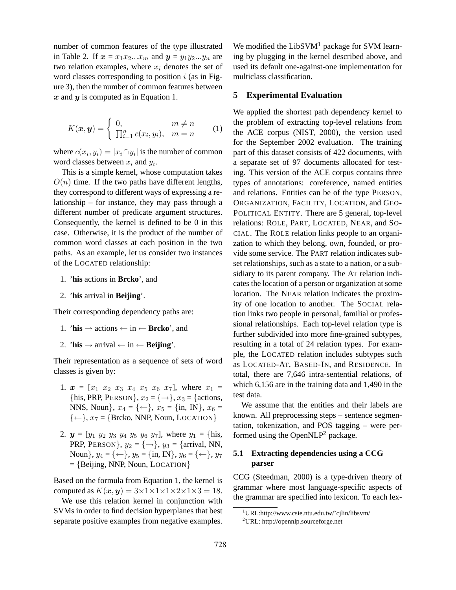number of common features of the type illustrated in Table 2. If  $x = x_1x_2...x_m$  and  $y = y_1y_2...y_n$  are two relation examples, where  $x_i$  denotes the set of word classes corresponding to position  $i$  (as in Figure 3), then the number of common features between  $x$  and  $y$  is computed as in Equation 1.

$$
K(\boldsymbol{x}, \boldsymbol{y}) = \begin{cases} 0, & m \neq n \\ \prod_{i=1}^{n} c(x_i, y_i), & m = n \end{cases}
$$
 (1)

where  $c(x_i, y_i) = |x_i \cap y_i|$  is the number of common word classes between  $x_i$  and  $y_i$ .

This is a simple kernel, whose computation takes  $O(n)$  time. If the two paths have different lengths, they correspond to different ways of expressing a relationship – for instance, they may pass through a different number of predicate argument structures. Consequently, the kernel is defined to be 0 in this case. Otherwise, it is the product of the number of common word classes at each position in the two paths. As an example, let us consider two instances of the LOCATED relationship:

- 1. '**his** actions in **Brcko**', and
- 2. '**his** arrival in **Beijing**'.

Their corresponding dependency paths are:

- 1. **'his**  $\rightarrow$  actions  $\leftarrow$  in  $\leftarrow$  **Brcko**', and
- 2. **'his**  $\rightarrow$  arrival  $\leftarrow$  in  $\leftarrow$  **Beijing**'.

Their representation as a sequence of sets of word classes is given by:

- 1.  $x = [x_1 \ x_2 \ x_3 \ x_4 \ x_5 \ x_6 \ x_7]$ , where  $x_1 =$ {his, PRP, PERSON},  $x_2 = \{\rightarrow\}$ ,  $x_3 =$  {actions, NNS, Noun},  $x_4 = \{\leftarrow\}$ ,  $x_5 = \{\text{in}, \text{IN}\}$ ,  $x_6 =$  $\{\leftarrow\}, x_7 = \{\text{Brcko}, \text{NNP}, \text{Noun}, \text{LOCATION}\}$
- 2.  $y = [y_1 \ y_2 \ y_3 \ y_4 \ y_5 \ y_6 \ y_7]$ , where  $y_1 = \{\text{his}, \text{if } y_2 \text{ is } \text{his.}\}$ PRP, PERSON},  $y_2 = \{\rightarrow\}$ ,  $y_3 = \{\text{arrival}, \text{ NN}, \text{null}\}$ Noun $\}, y_4 = \{\leftarrow\}, y_5 = \{\text{in}, \text{IN}\}, y_6 = \{\leftarrow\}, y_7$  $=$  {Beijing, NNP, Noun, LOCATION}

Based on the formula from Equation 1, the kernel is computed as  $K(\mathbf{x}, \mathbf{y}) = 3 \times 1 \times 1 \times 1 \times 2 \times 1 \times 3 = 18$ .

We use this relation kernel in conjunction with SVMs in order to find decision hyperplanes that best separate positive examples from negative examples. We modified the  $LibSVM<sup>1</sup>$  package for SVM learning by plugging in the kernel described above, and used its default one-against-one implementation for multiclass classification.

#### **5 Experimental Evaluation**

We applied the shortest path dependency kernel to the problem of extracting top-level relations from the ACE corpus (NIST, 2000), the version used for the September 2002 evaluation. The training part of this dataset consists of 422 documents, with a separate set of 97 documents allocated for testing. This version of the ACE corpus contains three types of annotations: coreference, named entities and relations. Entities can be of the type PERSON, ORGANIZATION, FACILITY, LOCATION, and GEO-POLITICAL ENTITY. There are 5 general, top-level relations: ROLE, PART, LOCATED, NEAR, and SO-CIAL. The ROLE relation links people to an organization to which they belong, own, founded, or provide some service. The PART relation indicates subset relationships, such as a state to a nation, or a subsidiary to its parent company. The AT relation indicates the location of a person or organization at some location. The NEAR relation indicates the proximity of one location to another. The SOCIAL relation links two people in personal, familial or professional relationships. Each top-level relation type is further subdivided into more fine-grained subtypes, resulting in a total of 24 relation types. For example, the LOCATED relation includes subtypes such as LOCATED-AT, BASED-IN, and RESIDENCE. In total, there are 7,646 intra-sentential relations, of which 6,156 are in the training data and 1,490 in the test data.

We assume that the entities and their labels are known. All preprocessing steps – sentence segmentation, tokenization, and POS tagging – were performed using the Open $NLP<sup>2</sup>$  package.

# **5.1 Extracting dependencies using a CCG parser**

CCG (Steedman, 2000) is a type-driven theory of grammar where most language-specific aspects of the grammar are specified into lexicon. To each lex-

 $1$ URL:http://www.csie.ntu.edu.tw/~cjlin/libsvm/

 $^{2}$ URL: http://opennlp.sourceforge.net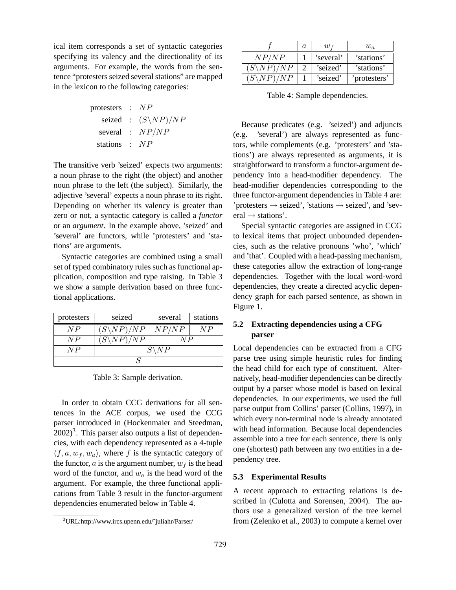ical item corresponds a set of syntactic categories specifying its valency and the directionality of its arguments. For example, the words from the sentence "protesters seized several stations" are mapped in the lexicon to the following categories:

| protesters | : $NP$                    |
|------------|---------------------------|
| seized     | : $(S \setminus NP) / NP$ |
| several    | : $NP / NP$               |
| stations   | : $NP$                    |

The transitive verb 'seized' expects two arguments: a noun phrase to the right (the object) and another noun phrase to the left (the subject). Similarly, the adjective 'several' expects a noun phrase to its right. Depending on whether its valency is greater than zero or not, a syntactic category is called a *functor* or an *argument*. In the example above, 'seized' and 'several' are functors, while 'protesters' and 'stations' are arguments.

Syntactic categories are combined using a small set of typed combinatory rules such as functional application, composition and type raising. In Table 3 we show a sample derivation based on three functional applications.

| protesters | seized                | several | stations |  |  |
|------------|-----------------------|---------|----------|--|--|
| N P        | $(S\backslash NP)/NP$ | NP/NP   | V P      |  |  |
| N P        | $(S\backslash NP)/NP$ | N P     |          |  |  |
| N P        | N P                   |         |          |  |  |
|            |                       |         |          |  |  |

Table 3: Sample derivation.

In order to obtain CCG derivations for all sentences in the ACE corpus, we used the CCG parser introduced in (Hockenmaier and Steedman,  $(2002)^3$ . This parser also outputs a list of dependencies, with each dependency represented as a 4-tuple  $\langle f, a, w_f, w_a \rangle$ , where f is the syntactic category of the functor,  $a$  is the argument number,  $w_f$  is the head word of the functor, and  $w_a$  is the head word of the argument. For example, the three functional applications from Table 3 result in the functor-argument dependencies enumerated below in Table 4.

|                      | a | W £       | $w_a$        |
|----------------------|---|-----------|--------------|
| NP/N                 |   | 'several' | 'stations'   |
| $(S\setminus NP)/NP$ |   | 'seized'  | 'stations'   |
|                      |   | 'seized'  | 'protesters' |

Table 4: Sample dependencies.

Because predicates (e.g. 'seized') and adjuncts (e.g. 'several') are always represented as functors, while complements (e.g. 'protesters' and 'stations') are always represented as arguments, it is straightforward to transform a functor-argument dependency into a head-modifier dependency. The head-modifier dependencies corresponding to the three functor-argument dependencies in Table 4 are: 'protesters  $\rightarrow$  seized', 'stations  $\rightarrow$  seized', and 'sev $eral \rightarrow stations'.$ 

Special syntactic categories are assigned in CCG to lexical items that project unbounded dependencies, such as the relative pronouns 'who', 'which' and 'that'. Coupled with a head-passing mechanism, these categories allow the extraction of long-range dependencies. Together with the local word-word dependencies, they create a directed acyclic dependency graph for each parsed sentence, as shown in Figure 1.

# **5.2 Extracting dependencies using a CFG parser**

Local dependencies can be extracted from a CFG parse tree using simple heuristic rules for finding the head child for each type of constituent. Alternatively, head-modifier dependencies can be directly output by a parser whose model is based on lexical dependencies. In our experiments, we used the full parse output from Collins' parser (Collins, 1997), in which every non-terminal node is already annotated with head information. Because local dependencies assemble into a tree for each sentence, there is only one (shortest) path between any two entities in a dependency tree.

### **5.3 Experimental Results**

A recent approach to extracting relations is described in (Culotta and Sorensen, 2004). The authors use a generalized version of the tree kernel from (Zelenko et al., 2003) to compute a kernel over

<sup>3</sup>URL:http://www.ircs.upenn.edu/˜juliahr/Parser/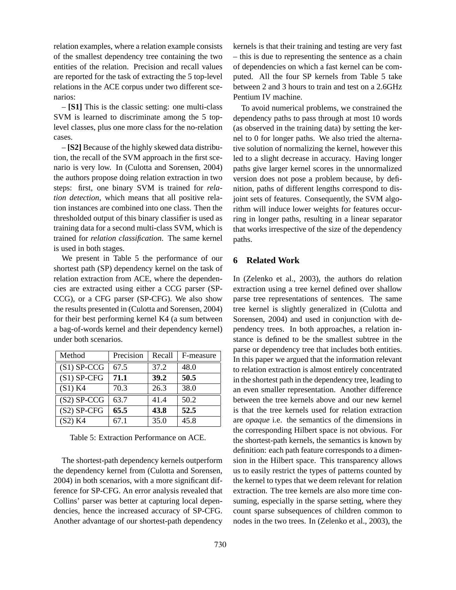relation examples, where a relation example consists of the smallest dependency tree containing the two entities of the relation. Precision and recall values are reported for the task of extracting the 5 top-level relations in the ACE corpus under two different scenarios:

– **[S1]** This is the classic setting: one multi-class SVM is learned to discriminate among the 5 toplevel classes, plus one more class for the no-relation cases.

– **[S2]** Because of the highly skewed data distribution, the recall of the SVM approach in the first scenario is very low. In (Culotta and Sorensen, 2004) the authors propose doing relation extraction in two steps: first, one binary SVM is trained for *relation detection*, which means that all positive relation instances are combined into one class. Then the thresholded output of this binary classifier is used as training data for a second multi-class SVM, which is trained for *relation classification*. The same kernel is used in both stages.

We present in Table 5 the performance of our shortest path (SP) dependency kernel on the task of relation extraction from ACE, where the dependencies are extracted using either a CCG parser (SP-CCG), or a CFG parser (SP-CFG). We also show the results presented in (Culotta and Sorensen, 2004) for their best performing kernel K4 (a sum between a bag-of-words kernel and their dependency kernel) under both scenarios.

| Method        | Precision | Recall | F-measure |
|---------------|-----------|--------|-----------|
| $(S1)$ SP-CCG | 67.5      | 37.2   | 48.0      |
| $(S1)$ SP-CFG | 71.1      | 39.2   | 50.5      |
| (S1) K4       | 70.3      | 26.3   | 38.0      |
| $(S2)$ SP-CCG | 63.7      | 41.4   | 50.2      |
| $(S2)$ SP-CFG | 65.5      | 43.8   | 52.5      |
| (S2) K4       | 67.1      | 35.0   | 45.8      |

Table 5: Extraction Performance on ACE.

The shortest-path dependency kernels outperform the dependency kernel from (Culotta and Sorensen, 2004) in both scenarios, with a more significant difference for SP-CFG. An error analysis revealed that Collins' parser was better at capturing local dependencies, hence the increased accuracy of SP-CFG. Another advantage of our shortest-path dependency kernels is that their training and testing are very fast – this is due to representing the sentence as a chain of dependencies on which a fast kernel can be computed. All the four SP kernels from Table 5 take between 2 and 3 hours to train and test on a 2.6GHz Pentium IV machine.

To avoid numerical problems, we constrained the dependency paths to pass through at most 10 words (as observed in the training data) by setting the kernel to 0 for longer paths. We also tried the alternative solution of normalizing the kernel, however this led to a slight decrease in accuracy. Having longer paths give larger kernel scores in the unnormalized version does not pose a problem because, by definition, paths of different lengths correspond to disjoint sets of features. Consequently, the SVM algorithm will induce lower weights for features occurring in longer paths, resulting in a linear separator that works irrespective of the size of the dependency paths.

## **6 Related Work**

In (Zelenko et al., 2003), the authors do relation extraction using a tree kernel defined over shallow parse tree representations of sentences. The same tree kernel is slightly generalized in (Culotta and Sorensen, 2004) and used in conjunction with dependency trees. In both approaches, a relation instance is defined to be the smallest subtree in the parse or dependency tree that includes both entities. In this paper we argued that the information relevant to relation extraction is almost entirely concentrated in the shortest path in the dependency tree, leading to an even smaller representation. Another difference between the tree kernels above and our new kernel is that the tree kernels used for relation extraction are *opaque* i.e. the semantics of the dimensions in the corresponding Hilbert space is not obvious. For the shortest-path kernels, the semantics is known by definition: each path feature corresponds to a dimension in the Hilbert space. This transparency allows us to easily restrict the types of patterns counted by the kernel to types that we deem relevant for relation extraction. The tree kernels are also more time consuming, especially in the sparse setting, where they count sparse subsequences of children common to nodes in the two trees. In (Zelenko et al., 2003), the